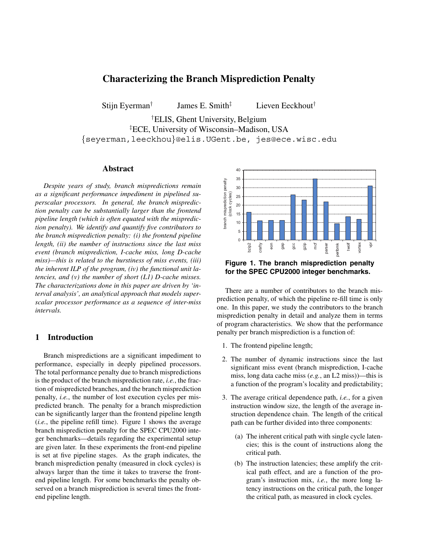# **Characterizing the Branch Misprediction Penalty**

Stijn Eyerman*†* James E. Smith*‡* Lieven Eeckhout*†*

*†* ELIS, Ghent University, Belgium *‡* ECE, University of Wisconsin–Madison, USA

{seyerman,leeckhou}@elis.UGent.be, jes@ece.wisc.edu

### **Abstract**

*Despite years of study, branch mispredictions remain as a significant performance impediment in pipelined superscalar processors. In general, the branch misprediction penalty can be substantially larger than the frontend pipeline length (which is often equated with the misprediction penalty). We identify and quantify five contributors to the branch misprediction penalty: (i) the frontend pipeline length, (ii) the number of instructions since the last miss event (branch misprediction, I-cache miss, long D-cache miss)—this is related to the burstiness of miss events, (iii) the inherent ILP of the program, (iv) the functional unit latencies, and (v) the number of short (L1) D-cache misses. The characterizations done in this paper are driven by 'interval analysis', an analytical approach that models superscalar processor performance as a sequence of inter-miss intervals.*

## **1 Introduction**

Branch mispredictions are a significant impediment to performance, especially in deeply pipelined processors. The total performance penalty due to branch mispredictions is the product of the branch misprediction rate, *i.e.*, the fraction of mispredicted branches, and the branch misprediction penalty, *i.e.*, the number of lost execution cycles per mispredicted branch. The penalty for a branch misprediction can be significantly larger than the frontend pipeline length (*i.e.*, the pipeline refill time). Figure 1 shows the average branch misprediction penalty for the SPEC CPU2000 integer benchmarks—details regarding the experimental setup are given later. In these experiments the front-end pipeline is set at five pipeline stages. As the graph indicates, the branch misprediction penalty (measured in clock cycles) is always larger than the time it takes to traverse the frontend pipeline length. For some benchmarks the penalty observed on a branch misprediction is several times the frontend pipeline length.



**Figure 1. The branch misprediction penalty for the SPEC CPU2000 integer benchmarks.**

There are a number of contributors to the branch misprediction penalty, of which the pipeline re-fill time is only one. In this paper, we study the contributors to the branch misprediction penalty in detail and analyze them in terms of program characteristics. We show that the performance penalty per branch misprediction is a function of:

- 1. The frontend pipeline length;
- 2. The number of dynamic instructions since the last significant miss event (branch misprediction, I-cache miss, long data cache miss (*e.g.*, an L2 miss))—this is a function of the program's locality and predictability;
- 3. The average critical dependence path, *i.e.*, for a given instruction window size, the length of the average instruction dependence chain. The length of the critical path can be further divided into three components:
	- (a) The inherent critical path with single cycle latencies; this is the count of instructions along the critical path.
	- (b) The instruction latencies; these amplify the critical path effect, and are a function of the program's instruction mix, *i.e.*, the more long latency instructions on the critical path, the longer the critical path, as measured in clock cycles.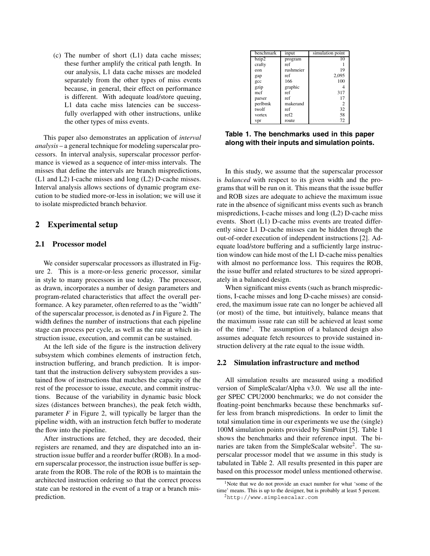(c) The number of short (L1) data cache misses; these further amplify the critical path length. In our analysis, L1 data cache misses are modeled separately from the other types of miss events because, in general, their effect on performance is different. With adequate load/store queuing, L1 data cache miss latencies can be successfully overlapped with other instructions, unlike the other types of miss events.

This paper also demonstrates an application of *interval analysis* – a general technique for modeling superscalar processors. In interval analysis, superscalar processor performance is viewed as a sequence of inter-miss intervals. The misses that define the intervals are branch mispredictions, (L1 and L2) I-cache misses and long (L2) D-cache misses. Interval analysis allows sections of dynamic program execution to be studied more-or-less in isolation; we will use it to isolate mispredicted branch behavior.

## **2 Experimental setup**

#### **2.1 Processor model**

We consider superscalar processors as illustrated in Figure 2. This is a more-or-less generic processor, similar in style to many processors in use today. The processor, as drawn, incorporates a number of design parameters and program-related characteristics that affect the overall performance. A key parameter, often referred to as the "width" of the superscalar processor, is denoted as *I* in Figure 2. The width defines the number of instructions that each pipeline stage can process per cycle, as well as the rate at which instruction issue, execution, and commit can be sustained.

At the left side of the figure is the instruction delivery subsystem which combines elements of instruction fetch, instruction buffering, and branch prediction. It is important that the instruction delivery subsystem provides a sustained flow of instructions that matches the capacity of the rest of the processor to issue, execute, and commit instructions. Because of the variability in dynamic basic block sizes (distances between branches), the peak fetch width, parameter *F* in Figure 2, will typically be larger than the pipeline width, with an instruction fetch buffer to moderate the flow into the pipeline.

After instructions are fetched, they are decoded, their registers are renamed, and they are dispatched into an instruction issue buffer and a reorder buffer (ROB). In a modern superscalar processor, the instruction issue buffer is separate from the ROB. The role of the ROB is to maintain the architected instruction ordering so that the correct process state can be restored in the event of a trap or a branch misprediction.

| benchmark | input            | simulation point |
|-----------|------------------|------------------|
| bzip2     | program          | 10               |
| crafty    | ref              |                  |
| eon       | rushmeier        | 19               |
| gap       | ref              | 2,095            |
| gcc       | 166              | 100              |
| gzip      | graphic          |                  |
| mcf       | ref              | 317              |
| parser    | ref              | 17               |
| perlbmk   | makerand         | 2                |
| twolf     | ref              | 32               |
| vortex    | ref <sub>2</sub> | 58               |
| vpr       | route            | 72               |

**Table 1. The benchmarks used in this paper along with their inputs and simulation points.**

In this study, we assume that the superscalar processor is *balanced* with respect to its given width and the programs that will be run on it. This means that the issue buffer and ROB sizes are adequate to achieve the maximum issue rate in the absence of significant miss events such as branch mispredictions, I-cache misses and long (L2) D-cache miss events. Short (L1) D-cache miss events are treated differently since L1 D-cache misses can be hidden through the out-of-order execution of independent instructions [2]. Adequate load/store buffering and a sufficiently large instruction window can hide most of the L1 D-cache miss penalties with almost no performance loss. This requires the ROB, the issue buffer and related structures to be sized appropriately in a balanced design.

When significant miss events (such as branch mispredictions, I-cache misses and long D-cache misses) are considered, the maximum issue rate can no longer be achieved all (or most) of the time, but intuitively, balance means that the maximum issue rate can still be achieved at least some of the time<sup>1</sup>. The assumption of a balanced design also assumes adequate fetch resources to provide sustained instruction delivery at the rate equal to the issue width.

#### **2.2 Simulation infrastructure and method**

All simulation results are measured using a modified version of SimpleScalar/Alpha v3.0. We use all the integer SPEC CPU2000 benchmarks; we do not consider the floating-point benchmarks because these benchmarks suffer less from branch mispredictions. In order to limit the total simulation time in our experiments we use the (single) 100M simulation points provided by SimPoint [5]. Table 1 shows the benchmarks and their reference input. The binaries are taken from the SimpleScalar website<sup>2</sup>. The superscalar processor model that we assume in this study is tabulated in Table 2. All results presented in this paper are based on this processor model unless mentioned otherwise.

<sup>1</sup>Note that we do not provide an exact number for what 'some of the time' means. This is up to the designer, but is probably at least 5 percent. <sup>2</sup>http://www.simplescalar.com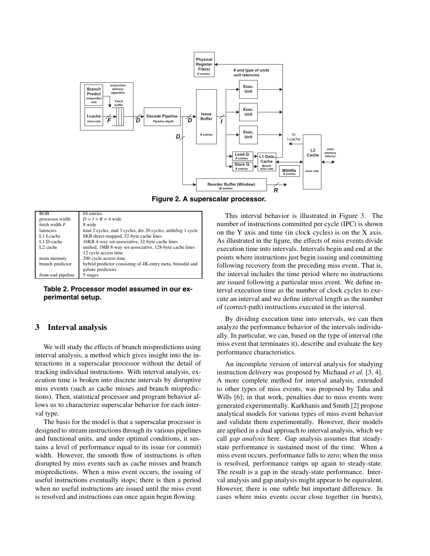

**Figure 2. A superscalar processor.**

| ROB                  | $64$ entries                                                  |
|----------------------|---------------------------------------------------------------|
| processor width      | $D = I = R = 4$ wide                                          |
| fetch width $F$      | 8 wide                                                        |
| latencies            | load 2 cycles, mul 3 cycles, div 20 cycles, arith/log 1 cycle |
| L1 I-cache           | 8KB direct-mapped, 32-byte cache lines                        |
| L1 D-cache           | 16KB 4-way set-associative, 32-byte cache lines               |
| L <sub>2</sub> cache | unified, 1MB 8-way set-associative, 128-byte cache lines      |
|                      | 12 cycle access time                                          |
| main memory          | 200 cycle access time                                         |
| branch predictor     | hybrid predictor consisting of 4K-entry meta, bimodal and     |
|                      | gshare predictors                                             |
| front-end pipeline   | 5 stages                                                      |

**Table 2. Processor model assumed in our experimental setup.**

## **3 Interval analysis**

We will study the effects of branch mispredictions using interval analysis, a method which gives insight into the interactions in a superscalar processor without the detail of tracking individual instructions. With interval analysis, execution time is broken into discrete intervals by disruptive miss events (such as cache misses and branch mispredictions). Then, statistical processor and program behavior allows us to characterize superscalar behavior for each interval type.

The basis for the model is that a superscalar processor is designed to stream instructions through its various pipelines and functional units, and under optimal conditions, it sustains a level of performance equal to its issue (or commit) width. However, the smooth flow of instructions is often disrupted by miss events such as cache misses and branch mispredictions. When a miss event occurs, the issuing of useful instructions eventually stops; there is then a period when no useful instructions are issued until the miss event is resolved and instructions can once again begin flowing.

This interval behavior is illustrated in Figure 3. The number of instructions committed per cycle (IPC) is shown on the Y axis and time (in clock cycles) is on the X axis. As illustrated in the figure, the effects of miss events divide execution time into intervals. Intervals begin and end at the points where instructions just begin issuing and committing following recovery from the preceding miss event. That is, the interval includes the time period where no instructions are issued following a particular miss event. We define interval execution time as the number of clock cycles to execute an interval and we define interval length as the number of (correct-path) instructions executed in the interval.

By dividing execution time into intervals, we can then analyze the performance behavior of the intervals individually. In particular, we can, based on the type of interval (the miss event that terminates it), describe and evaluate the key performance characteristics.

An incomplete version of interval analysis for studying instruction delivery was proposed by Michaud *et al.* [3, 4]. A more complete method for interval analysis, extended to other types of miss events, was proposed by Taha and Wills [6]; in that work, penalties due to miss events were generated experimentally. Karkhanis and Smith [2] propose analytical models for various types of miss event behavior and validate them experimentally. However, their models are applied in a dual approach to interval analysis, which we call *gap analysis* here. Gap analysis assumes that steadystate performance is sustained most of the time. When a miss event occurs, performance falls to zero; when the miss is resolved, performance ramps up again to steady-state. The result is a gap in the steady-state performance. Interval analysis and gap analysis might appear to be equivalent. However, there is one subtle but important difference. In cases where miss events occur close together (in bursts),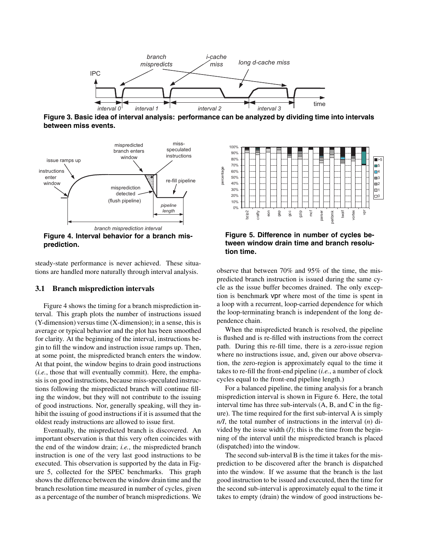

**Figure 3. Basic idea of interval analysis: performance can be analyzed by dividing time into intervals between miss events.**



**Figure 4. Interval behavior for a branch misprediction.**

steady-state performance is never achieved. These situations are handled more naturally through interval analysis.

## **3.1 Branch misprediction intervals**

Figure 4 shows the timing for a branch misprediction interval. This graph plots the number of instructions issued (Y-dimension) versus time (X-dimension); in a sense, this is average or typical behavior and the plot has been smoothed for clarity. At the beginning of the interval, instructions begin to fill the window and instruction issue ramps up. Then, at some point, the mispredicted branch enters the window. At that point, the window begins to drain good instructions (*i.e.*, those that will eventually commit). Here, the emphasis is on good instructions, because miss-speculated instructions following the mispredicted branch will continue filling the window, but they will not contribute to the issuing of good instructions. Nor, generally speaking, will they inhibit the issuing of good instructions if it is assumed that the oldest ready instructions are allowed to issue first.

Eventually, the mispredicted branch is discovered. An important observation is that this very often coincides with the end of the window drain; *i.e.*, the mispredicted branch instruction is one of the very last good instructions to be executed. This observation is supported by the data in Figure 5, collected for the SPEC benchmarks. This graph shows the difference between the window drain time and the branch resolution time measured in number of cycles, given as a percentage of the number of branch mispredictions. We



**Figure 5. Difference in number of cycles between window drain time and branch resolution time.**

observe that between 70% and 95% of the time, the mispredicted branch instruction is issued during the same cycle as the issue buffer becomes drained. The only exception is benchmark vpr where most of the time is spent in a loop with a recurrent, loop-carried dependence for which the loop-terminating branch is independent of the long dependence chain.

When the mispredicted branch is resolved, the pipeline is flushed and is re-filled with instructions from the correct path. During this re-fill time, there is a zero-issue region where no instructions issue, and, given our above observation, the zero-region is approximately equal to the time it takes to re-fill the front-end pipeline (*i.e.*, a number of clock cycles equal to the front-end pipeline length.)

For a balanced pipeline, the timing analysis for a branch misprediction interval is shown in Figure 6. Here, the total interval time has three sub-intervals (A, B, and C in the figure). The time required for the first sub-interval A is simply *n/I*, the total number of instructions in the interval (*n*) divided by the issue width  $(I)$ ; this is the time from the beginning of the interval until the mispredicted branch is placed (dispatched) into the window.

The second sub-interval B is the time it takes for the misprediction to be discovered after the branch is dispatched into the window. If we assume that the branch is the last good instruction to be issued and executed, then the time for the second sub-interval is approximately equal to the time it takes to empty (drain) the window of good instructions be-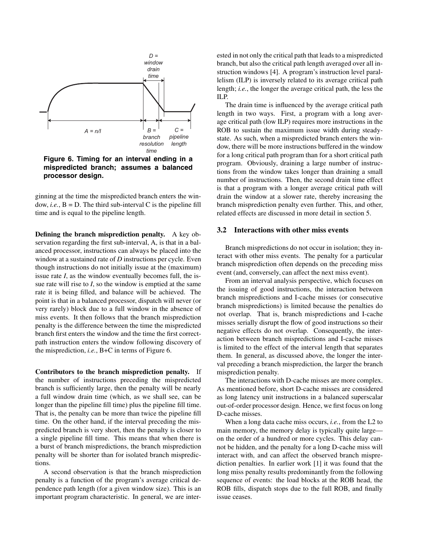

**Figure 6. Timing for an interval ending in a mispredicted branch; assumes a balanced processor design.**

ginning at the time the mispredicted branch enters the window, *i.e.*,  $B = D$ . The third sub-interval C is the pipeline fill time and is equal to the pipeline length.

**Defining the branch misprediction penalty.** A key observation regarding the first sub-interval, A, is that in a balanced processor, instructions can always be placed into the window at a sustained rate of *D* instructions per cycle. Even though instructions do not initially issue at the (maximum) issue rate *I*, as the window eventually becomes full, the issue rate will rise to *I*, so the window is emptied at the same rate it is being filled, and balance will be achieved. The point is that in a balanced processor, dispatch will never (or very rarely) block due to a full window in the absence of miss events. It then follows that the branch misprediction penalty is the difference between the time the mispredicted branch first enters the window and the time the first correctpath instruction enters the window following discovery of the misprediction, *i.e.*, B+C in terms of Figure 6.

**Contributors to the branch misprediction penalty.** If the number of instructions preceding the mispredicted branch is sufficiently large, then the penalty will be nearly a full window drain time (which, as we shall see, can be longer than the pipeline fill time) plus the pipeline fill time. That is, the penalty can be more than twice the pipeline fill time. On the other hand, if the interval preceding the mispredicted branch is very short, then the penalty is closer to a single pipeline fill time. This means that when there is a burst of branch mispredictions, the branch misprediction penalty will be shorter than for isolated branch mispredictions.

A second observation is that the branch misprediction penalty is a function of the program's average critical dependence path length (for a given window size). This is an important program characteristic. In general, we are interested in not only the critical path that leads to a mispredicted branch, but also the critical path length averaged over all instruction windows [4]. A program's instruction level parallelism (ILP) is inversely related to its average critical path length; *i.e.*, the longer the average critical path, the less the ILP.

The drain time is influenced by the average critical path length in two ways. First, a program with a long average critical path (low ILP) requires more instructions in the ROB to sustain the maximum issue width during steadystate. As such, when a mispredicted branch enters the window, there will be more instructions buffered in the window for a long critical path program than for a short critical path program. Obviously, draining a large number of instructions from the window takes longer than draining a small number of instructions. Then, the second drain time effect is that a program with a longer average critical path will drain the window at a slower rate, thereby increasing the branch misprediction penalty even further. This, and other, related effects are discussed in more detail in section 5.

#### **3.2 Interactions with other miss events**

Branch mispredictions do not occur in isolation; they interact with other miss events. The penalty for a particular branch misprediction often depends on the preceding miss event (and, conversely, can affect the next miss event).

From an interval analysis perspective, which focuses on the issuing of good instructions, the interaction between branch mispredictions and I-cache misses (or consecutive branch mispredictions) is limited because the penalties do not overlap. That is, branch mispredictions and I-cache misses serially disrupt the flow of good instructions so their negative effects do not overlap. Consequently, the interaction between branch mispredictions and I-cache misses is limited to the effect of the interval length that separates them. In general, as discussed above, the longer the interval preceding a branch misprediction, the larger the branch misprediction penalty.

The interactions with D-cache misses are more complex. As mentioned before, short D-cache misses are considered as long latency unit instructions in a balanced superscalar out-of-order processor design. Hence, we first focus on long D-cache misses.

When a long data cache miss occurs, *i.e.*, from the L2 to main memory, the memory delay is typically quite large on the order of a hundred or more cycles. This delay cannot be hidden, and the penalty for a long D-cache miss will interact with, and can affect the observed branch misprediction penalties. In earlier work [1] it was found that the long miss penalty results predominantly from the following sequence of events: the load blocks at the ROB head, the ROB fills, dispatch stops due to the full ROB, and finally issue ceases.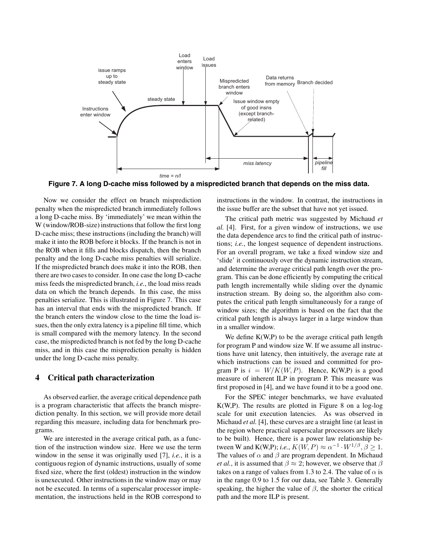

**Figure 7. A long D-cache miss followed by a mispredicted branch that depends on the miss data.**

Now we consider the effect on branch misprediction penalty when the mispredicted branch immediately follows a long D-cache miss. By 'immediately' we mean within the W (window/ROB-size) instructions that follow the first long D-cache miss; these instructions (including the branch) will make it into the ROB before it blocks. If the branch is not in the ROB when it fills and blocks dispatch, then the branch penalty and the long D-cache miss penalties will serialize. If the mispredicted branch does make it into the ROB, then there are two cases to consider. In one case the long D-cache miss feeds the mispredicted branch, *i.e.*, the load miss reads data on which the branch depends. In this case, the miss penalties serialize. This is illustrated in Figure 7. This case has an interval that ends with the mispredicted branch. If the branch enters the window close to the time the load issues, then the only extra latency is a pipeline fill time, which is small compared with the memory latency. In the second case, the mispredicted branch is not fed by the long D-cache miss, and in this case the misprediction penalty is hidden under the long D-cache miss penalty.

## **4 Critical path characterization**

As observed earlier, the average critical dependence path is a program characteristic that affects the branch misprediction penalty. In this section, we will provide more detail regarding this measure, including data for benchmark programs.

We are interested in the average critical path, as a function of the instruction window size. Here we use the term window in the sense it was originally used [7], *i.e.*, it is a contiguous region of dynamic instructions, usually of some fixed size, where the first (oldest) instruction in the window is unexecuted. Other instructions in the window may or may not be executed. In terms of a superscalar processor implementation, the instructions held in the ROB correspond to instructions in the window. In contrast, the instructions in the issue buffer are the subset that have not yet issued.

The critical path metric was suggested by Michaud *et al.* [4]. First, for a given window of instructions, we use the data dependence arcs to find the critical path of instructions; *i.e.*, the longest sequence of dependent instructions. For an overall program, we take a fixed window size and 'slide' it continuously over the dynamic instruction stream, and determine the average critical path length over the program. This can be done efficiently by computing the critical path length incrementally while sliding over the dynamic instruction stream. By doing so, the algorithm also computes the critical path length simultaneously for a range of window sizes; the algorithm is based on the fact that the critical path length is always larger in a large window than in a smaller window.

We define  $K(W,P)$  to be the average critical path length for program P and window size W. If we assume all instructions have unit latency, then intuitively, the average rate at which instructions can be issued and committed for program P is  $i = W/K(W, P)$ . Hence, K(W,P) is a good measure of inherent ILP in program P. This measure was first proposed in [4], and we have found it to be a good one.

For the SPEC integer benchmarks, we have evaluated K(W,P). The results are plotted in Figure 8 on a log-log scale for unit execution latencies. As was observed in Michaud *et al.* [4], these curves are a straight line (at least in the region where practical superscalar processors are likely to be built). Hence, there is a power law relationship between W and K(W,P); *i.e.*,  $K(W, P) \approx \alpha^{-1} \cdot W^{1/\beta}, \beta \ge 1$ . The values of  $\alpha$  and  $\beta$  are program dependent. In Michaud *et al.*, it is assumed that  $\beta \approx 2$ ; however, we observe that  $\beta$ takes on a range of values from 1.3 to 2.4. The value of  $\alpha$  is in the range 0.9 to 1.5 for our data, see Table 3. Generally speaking, the higher the value of  $\beta$ , the shorter the critical path and the more ILP is present.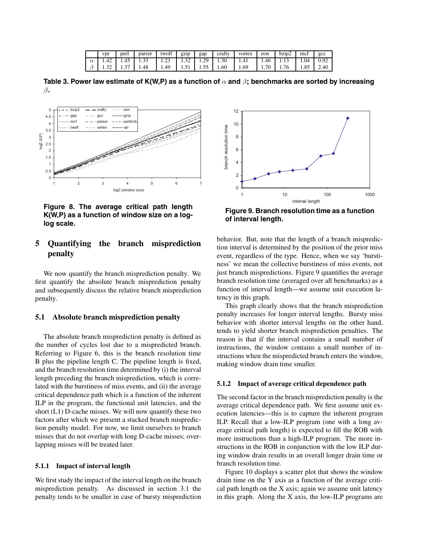| <b>VDI</b> | perl | parser | twolf gzip |  | gap crafty vortex eon bzip2 mcf                                                              |  | $\csc$ |
|------------|------|--------|------------|--|----------------------------------------------------------------------------------------------|--|--------|
|            |      |        |            |  | $\alpha$   1.42   1.45   1.33   1.23   1.32   1.39   1.30   1.41   1.46   1.13   1.04   0.92 |  |        |
|            |      |        |            |  | $\beta$   1.32   1.37   1.48   1.49   1.51   1.55   1.60   1.69   1.70   1.76   1.85   2.40  |  |        |

**Table 3. Power law estimate of K(W,P) as a function of** α **and** β**; benchmarks are sorted by increasing** β**.**



**Figure 8. The average critical path length K(W,P) as a function of window size on a loglog scale.**

# **5 Quantifying the branch misprediction penalty**

We now quantify the branch misprediction penalty. We first quantify the absolute branch misprediction penalty and subsequently discuss the relative branch misprediction penalty.

## **5.1 Absolute branch misprediction penalty**

The absolute branch misprediction penalty is defined as the number of cycles lost due to a mispredicted branch. Referring to Figure 6, this is the branch resolution time B plus the pipeline length C. The pipeline length is fixed, and the branch resolution time determined by (i) the interval length preceding the branch misprediction, which is correlated with the burstiness of miss events, and (ii) the average critical dependence path which is a function of the inherent ILP in the program, the functional unit latencies, and the short (L1) D-cache misses. We will now quantify these two factors after which we present a stacked branch misprediction penalty model. For now, we limit ourselves to branch misses that do not overlap with long D-cache misses; overlapping misses will be treated later.

#### **5.1.1 Impact of interval length**

We first study the impact of the interval length on the branch misprediction penalty. As discussed in section 3.1 the penalty tends to be smaller in case of bursty misprediction



**Figure 9. Branch resolution time as a function of interval length.**

behavior. But, note that the length of a branch misprediction interval is determined by the position of the prior miss event, regardless of the type. Hence, when we say 'burstiness' we mean the collective burstiness of miss events, not just branch mispredictions. Figure 9 quantifies the average branch resolution time (averaged over all benchmarks) as a function of interval length—we assume unit execution latency in this graph.

This graph clearly shows that the branch misprediction penalty increases for longer interval lengths. Bursty miss behavior with shorter interval lengths on the other hand, tends to yield shorter branch misprediction penalties. The reason is that if the interval contains a small number of instructions, the window contains a small number of instructions when the mispredicted branch enters the window, making window drain time smaller.

#### **5.1.2 Impact of average critical dependence path**

The second factor in the branch misprediction penalty is the average critical dependence path. We first assume unit execution latencies—this is to capture the inherent program ILP. Recall that a low-ILP program (one with a long average critical path length) is expected to fill the ROB with more instructions than a high-ILP program. The more instructions in the ROB in conjunction with the low ILP during window drain results in an overall longer drain time or branch resolution time.

Figure 10 displays a scatter plot that shows the window drain time on the Y axis as a function of the average critical path length on the X axis; again we assume unit latency in this graph. Along the X axis, the low-ILP programs are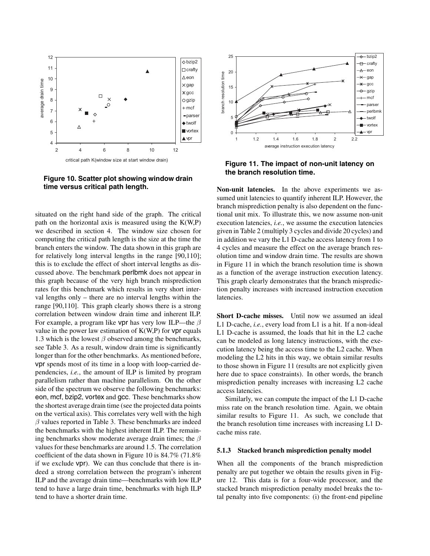

**Figure 10. Scatter plot showing window drain time versus critical path length.**

situated on the right hand side of the graph. The critical path on the horizontal axis is measured using the  $K(W, P)$ we described in section 4. The window size chosen for computing the critical path length is the size at the time the branch enters the window. The data shown in this graph are for relatively long interval lengths in the range [90,110]; this is to exclude the effect of short interval lengths as discussed above. The benchmark perlbmk does not appear in this graph because of the very high branch misprediction rates for this benchmark which results in very short interval lengths only – there are no interval lengths within the range [90,110]. This graph clearly shows there is a strong correlation between window drain time and inherent ILP. For example, a program like vpr has very low ILP—the  $\beta$ value in the power law estimation of  $K(W, P)$  for vpr equals 1.3 which is the lowest  $\beta$  observed among the benchmarks, see Table 3. As a result, window drain time is significantly longer than for the other benchmarks. As mentioned before, vpr spends most of its time in a loop with loop-carried dependencies, *i.e.*, the amount of ILP is limited by program parallelism rather than machine parallelism. On the other side of the spectrum we observe the following benchmarks: eon, mcf, bzip2, vortex and gcc. These benchmarks show the shortest average drain time (see the projected data points on the vertical axis). This correlates very well with the high  $\beta$  values reported in Table 3. These benchmarks are indeed the benchmarks with the highest inherent ILP. The remaining benchmarks show moderate average drain times; the  $\beta$ values for these benchmarks are around 1.5. The correlation coefficient of the data shown in Figure 10 is 84.7% (71.8% if we exclude vpr). We can thus conclude that there is indeed a strong correlation between the program's inherent ILP and the average drain time—benchmarks with low ILP tend to have a large drain time, benchmarks with high ILP tend to have a shorter drain time.



**Figure 11. The impact of non-unit latency on the branch resolution time.**

**Non-unit latencies.** In the above experiments we assumed unit latencies to quantify inherent ILP. However, the branch misprediction penalty is also dependent on the functional unit mix. To illustrate this, we now assume non-unit execution latencies, *i.e.*, we assume the execution latencies given in Table 2 (multiply 3 cycles and divide 20 cycles) and in addition we vary the L1 D-cache access latency from 1 to 4 cycles and measure the effect on the average branch resolution time and window drain time. The results are shown in Figure 11 in which the branch resolution time is shown as a function of the average instruction execution latency. This graph clearly demonstrates that the branch misprediction penalty increases with increased instruction execution latencies.

**Short D-cache misses.** Until now we assumed an ideal L1 D-cache, *i.e.*, every load from L1 is a hit. If a non-ideal L1 D-cache is assumed, the loads that hit in the L2 cache can be modeled as long latency instructions, with the execution latency being the access time to the L2 cache. When modeling the L2 hits in this way, we obtain similar results to those shown in Figure 11 (results are not explicitly given here due to space constraints). In other words, the branch misprediction penalty increases with increasing L2 cache access latencies.

Similarly, we can compute the impact of the L1 D-cache miss rate on the branch resolution time. Again, we obtain similar results to Figure 11. As such, we conclude that the branch resolution time increases with increasing L1 Dcache miss rate.

#### **5.1.3 Stacked branch misprediction penalty model**

When all the components of the branch misprediction penalty are put together we obtain the results given in Figure 12. This data is for a four-wide processor, and the stacked branch misprediction penalty model breaks the total penalty into five components: (i) the front-end pipeline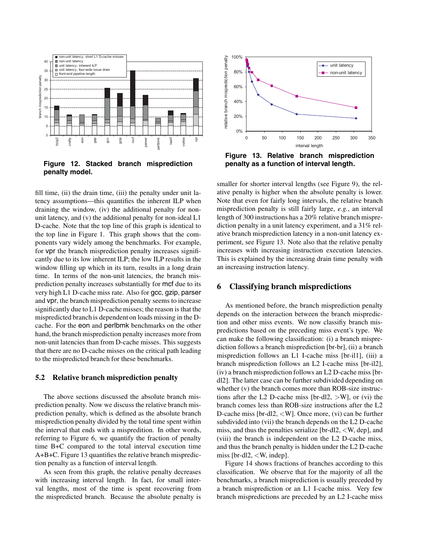

**Figure 12. Stacked branch misprediction penalty model.**

fill time, (ii) the drain time, (iii) the penalty under unit latency assumptions—this quantifies the inherent ILP when draining the window, (iv) the additional penalty for nonunit latency, and (v) the additional penalty for non-ideal L1 D-cache. Note that the top line of this graph is identical to the top line in Figure 1. This graph shows that the components vary widely among the benchmarks. For example, for vpr the branch misprediction penalty increases significantly due to its low inherent ILP; the low ILP results in the window filling up which in its turn, results in a long drain time. In terms of the non-unit latencies, the branch misprediction penalty increases substantially for mcf due to its very high L1 D-cache miss rate. Also for gcc, gzip, parser and vpr, the branch misprediction penalty seems to increase significantly due to L1 D-cache misses; the reason is that the mispredicted branch is dependent on loads missing in the Dcache. For the eon and perlbmk benchmarks on the other hand, the branch misprediction penalty increases more from non-unit latencies than from D-cache misses. This suggests that there are no D-cache misses on the critical path leading to the mispredicted branch for these benchmarks.

#### **5.2 Relative branch misprediction penalty**

The above sections discussed the absolute branch misprediction penalty. Now we discuss the relative branch misprediction penalty, which is defined as the absolute branch misprediction penalty divided by the total time spent within the interval that ends with a mispredition. In other words, referring to Figure 6, we quantify the fraction of penalty time B+C compared to the total interval execution time A+B+C. Figure 13 quantifies the relative branch misprediction penalty as a function of interval length.

As seen from this graph, the relative penalty decreases with increasing interval length. In fact, for small interval lengths, most of the time is spent recovering from the mispredicted branch. Because the absolute penalty is



**Figure 13. Relative branch misprediction penalty as a function of interval length.**

smaller for shorter interval lengths (see Figure 9), the relative penalty is higher when the absolute penalty is lower. Note that even for fairly long intervals, the relative branch misprediction penalty is still fairly large, *e.g.*, an interval length of 300 instructions has a 20% relative branch misprediction penalty in a unit latency experiment, and a 31% relative branch misprediction latency in a non-unit latency experiment, see Figure 13. Note also that the relative penalty increases with increasing instruction execution latencies. This is explained by the increasing drain time penalty with an increasing instruction latency.

## **6 Classifying branch mispredictions**

As mentioned before, the branch misprediction penalty depends on the interaction between the branch misprediction and other miss events. We now classifiy branch mispredictions based on the preceding miss event's type. We can make the following classification: (i) a branch misprediction follows a branch misprediction [br-br], (ii) a branch misprediction follows an L1 I-cache miss [br-il1], (iii) a branch misprediction follows an L2 I-cache miss [br-il2], (iv) a branch misprediction follows an L2 D-cache miss [brdl2]. The latter case can be further subdivided depending on whether (v) the branch comes more than ROB-size instructions after the L2 D-cache miss [br-dl2,  $>W$ ], or (vi) the branch comes less than ROB-size instructions after the L2 D-cache miss [br-dl2, <W]. Once more, (vi) can be further subdivided into (vii) the branch depends on the L2 D-cache miss, and thus the penalties serialize [br-dl2, <W, dep], and (viii) the branch is independent on the L2 D-cache miss, and thus the branch penalty is hidden under the L2 D-cache miss [br-dl2,  $\langle W, \text{indep} \rangle$ ].

Figure 14 shows fractions of branches according to this classification. We observe that for the majority of all the benchmarks, a branch misprediction is usually preceded by a branch misprediction or an L1 I-cache miss. Very few branch mispredictions are preceded by an L2 I-cache miss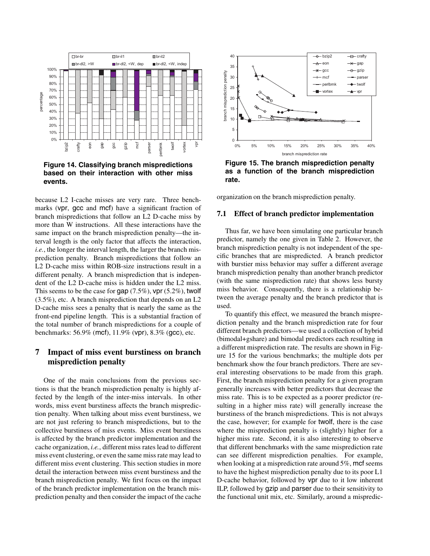

**Figure 14. Classifying branch mispredictions based on their interaction with other miss events.**

because L2 I-cache misses are very rare. Three benchmarks (vpr, gcc and mcf) have a significant fraction of branch mispredictions that follow an L2 D-cache miss by more than W instructions. All these interactions have the same impact on the branch misprediction penalty—the interval length is the only factor that affects the interaction, *i.e.*, the longer the interval length, the larger the branch misprediction penalty. Branch mispredictions that follow an L2 D-cache miss within ROB-size instructions result in a different penalty. A branch misprediction that is independent of the L2 D-cache miss is hidden under the L2 miss. This seems to be the case for gap  $(7.5\%)$ , vpr  $(5.2\%)$ , twolf (3.5%), etc. A branch misprediction that depends on an L2 D-cache miss sees a penalty that is nearly the same as the front-end pipeline length. This is a substantial fraction of the total number of branch mispredictions for a couple of benchmarks: 56.9% (mcf), 11.9% (vpr), 8.3% (gcc), etc.

## **7 Impact of miss event burstiness on branch misprediction penalty**

One of the main conclusions from the previous sections is that the branch misprediction penalty is highly affected by the length of the inter-miss intervals. In other words, miss event burstiness affects the branch misprediction penalty. When talking about miss event burstiness, we are not just refering to branch mispredictions, but to the collective burstiness of miss events. Miss event burstiness is affected by the branch predictor implementation and the cache organization, *i.e.*, different miss rates lead to different miss event clustering, or even the same miss rate may lead to different miss event clustering. This section studies in more detail the interaction between miss event burstiness and the branch misprediction penalty. We first focus on the impact of the branch predictor implementation on the branch misprediction penalty and then consider the impact of the cache



**Figure 15. The branch misprediction penalty as a function of the branch misprediction rate.**

organization on the branch misprediction penalty.

#### **7.1 Effect of branch predictor implementation**

Thus far, we have been simulating one particular branch predictor, namely the one given in Table 2. However, the branch misprediction penalty is not independent of the specific branches that are mispredicted. A branch predictor with burstier miss behavior may suffer a different average branch misprediction penalty than another branch predictor (with the same misprediction rate) that shows less bursty miss behavior. Consequently, there is a relationship between the average penalty and the branch predictor that is used.

To quantify this effect, we measured the branch misprediction penalty and the branch misprediction rate for four different branch predictors—we used a collection of hybrid (bimodal+gshare) and bimodal predictors each resulting in a different misprediction rate. The results are shown in Figure 15 for the various benchmarks; the multiple dots per benchmark show the four branch predictors. There are several interesting observations to be made from this graph. First, the branch misprediction penalty for a given program generally increases with better predictors that decrease the miss rate. This is to be expected as a poorer predictor (resulting in a higher miss rate) will generally increase the burstiness of the branch mispredictions. This is not always the case, however; for example for twolf, there is the case where the misprediction penalty is (slightly) higher for a higher miss rate. Second, it is also interesting to observe that different benchmarks with the same misprediction rate can see different misprediction penalties. For example, when looking at a misprediction rate around 5%, mcf seems to have the highest misprediction penalty due to its poor L1 D-cache behavior, followed by vpr due to it low inherent ILP, followed by gzip and parser due to their sensitivity to the functional unit mix, etc. Similarly, around a mispredic-